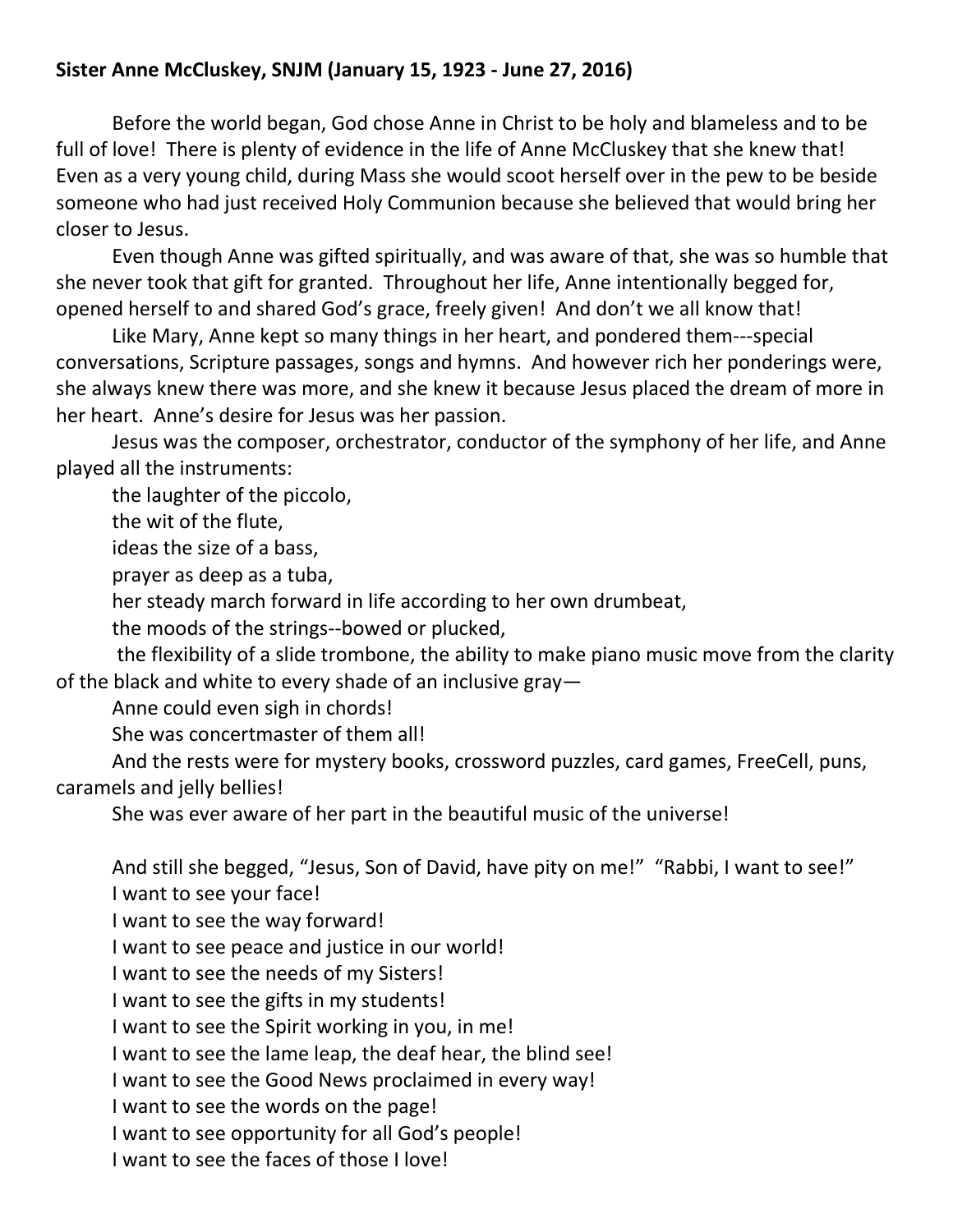## **Sister Anne McCluskey, SNJM (January 15, 1923 - June 27, 2016)**

Before the world began, God chose Anne in Christ to be holy and blameless and to be full of love! There is plenty of evidence in the life of Anne McCluskey that she knew that! Even as a very young child, during Mass she would scoot herself over in the pew to be beside someone who had just received Holy Communion because she believed that would bring her closer to Jesus.

Even though Anne was gifted spiritually, and was aware of that, she was so humble that she never took that gift for granted. Throughout her life, Anne intentionally begged for, opened herself to and shared God's grace, freely given! And don't we all know that!

Like Mary, Anne kept so many things in her heart, and pondered them---special conversations, Scripture passages, songs and hymns. And however rich her ponderings were, she always knew there was more, and she knew it because Jesus placed the dream of more in her heart. Anne's desire for Jesus was her passion.

Jesus was the composer, orchestrator, conductor of the symphony of her life, and Anne played all the instruments:

the laughter of the piccolo,

the wit of the flute,

ideas the size of a bass,

prayer as deep as a tuba,

her steady march forward in life according to her own drumbeat,

the moods of the strings--bowed or plucked,

the flexibility of a slide trombone, the ability to make piano music move from the clarity of the black and white to every shade of an inclusive gray—

Anne could even sigh in chords!

She was concertmaster of them all!

And the rests were for mystery books, crossword puzzles, card games, FreeCell, puns, caramels and jelly bellies!

She was ever aware of her part in the beautiful music of the universe!

And still she begged, "Jesus, Son of David, have pity on me!" "Rabbi, I want to see!" I want to see your face!

I want to see the way forward!

I want to see peace and justice in our world!

I want to see the needs of my Sisters!

I want to see the gifts in my students!

I want to see the Spirit working in you, in me!

I want to see the lame leap, the deaf hear, the blind see!

I want to see the Good News proclaimed in every way!

I want to see the words on the page!

I want to see opportunity for all God's people!

I want to see the faces of those I love!